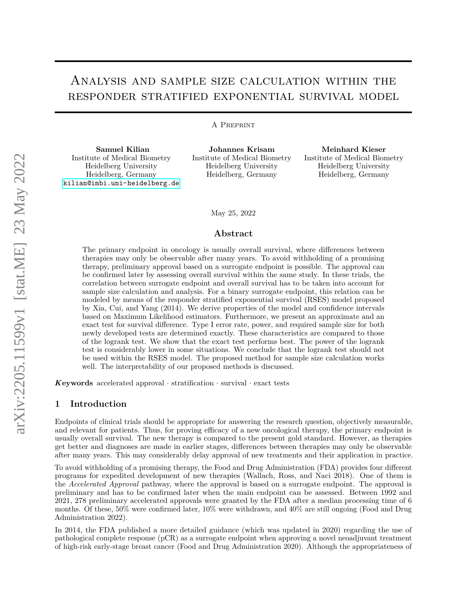# Analysis and sample size calculation within the responder stratified exponential survival model

#### A Preprint

**Samuel Kilian** Institute of Medical Biometry Heidelberg University Heidelberg, Germany [kilian@imbi.uni-heidelberg.de](mailto:kilian@imbi.uni-heidelberg.de)

**Johannes Krisam** Institute of Medical Biometry Heidelberg University Heidelberg, Germany

**Meinhard Kieser** Institute of Medical Biometry Heidelberg University Heidelberg, Germany

May 25, 2022

#### **Abstract**

The primary endpoint in oncology is usually overall survival, where differences between therapies may only be observable after many years. To avoid withholding of a promising therapy, preliminary approval based on a surrogate endpoint is possible. The approval can be confirmed later by assessing overall survival within the same study. In these trials, the correlation between surrogate endpoint and overall survival has to be taken into account for sample size calculation and analysis. For a binary surrogate endpoint, this relation can be modeled by means of the responder stratified exponential survival (RSES) model proposed by Xia, Cui, and Yang (2014). We derive properties of the model and confidence intervals based on Maximum Likelihood estimators. Furthermore, we present an approximate and an exact test for survival difference. Type I error rate, power, and required sample size for both newly developed tests are determined exactly. These characteristics are compared to those of the logrank test. We show that the exact test performs best. The power of the logrank test is considerably lower in some situations. We conclude that the logrank test should not be used within the RSES model. The proposed method for sample size calculation works well. The interpretability of our proposed methods is discussed.

*K***eywords** accelerated approval  $\cdot$  stratification  $\cdot$  survival  $\cdot$  exact tests

## **1 Introduction**

Endpoints of clinical trials should be appropriate for answering the research question, objectively measurable, and relevant for patients. Thus, for proving efficacy of a new oncological therapy, the primary endpoint is usually overall survival. The new therapy is compared to the present gold standard. However, as therapies get better and diagnoses are made in earlier stages, differences between therapies may only be observable after many years. This may considerably delay approval of new treatments and their application in practice.

To avoid withholding of a promising therapy, the Food and Drug Administration (FDA) provides four different programs for expedited development of new therapies (Wallach, Ross, and Naci 2018). One of them is the *Accelerated Approval* pathway, where the approval is based on a surrogate endpoint. The approval is preliminary and has to be confirmed later when the main endpoint can be assessed. Between 1992 and 2021, 278 preliminary accelerated approvals were granted by the FDA after a median processing time of 6 months. Of these, 50% were confirmed later, 10% were withdrawn, and 40% are still ongoing (Food and Drug Administration 2022).

In 2014, the FDA published a more detailed guidance (which was updated in 2020) regarding the use of pathological complete response (pCR) as a surrogate endpoint when approving a novel neoadjuvant treatment of high-risk early-stage breast cancer (Food and Drug Administration 2020). Although the appropriateness of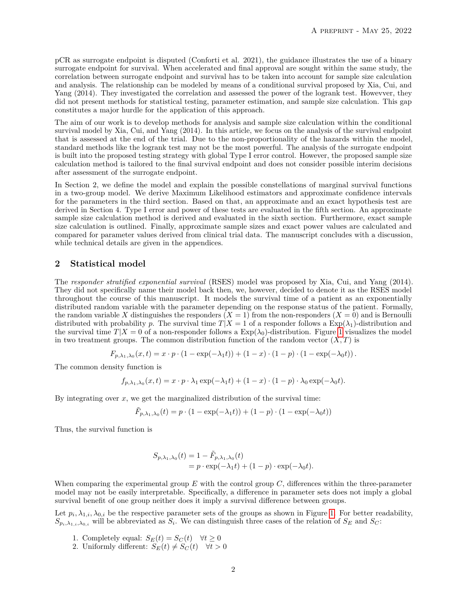pCR as surrogate endpoint is disputed (Conforti et al. 2021), the guidance illustrates the use of a binary surrogate endpoint for survival. When accelerated and final approval are sought within the same study, the correlation between surrogate endpoint and survival has to be taken into account for sample size calculation and analysis. The relationship can be modeled by means of a conditional survival proposed by Xia, Cui, and Yang (2014). They investigated the correlation and assessed the power of the logrank test. Howevver, they did not present methods for statistical testing, parameter estimation, and sample size calculation. This gap constitutes a major hurdle for the application of this approach.

The aim of our work is to develop methods for analysis and sample size calculation within the conditional survival model by Xia, Cui, and Yang (2014). In this article, we focus on the analysis of the survival endpoint that is assessed at the end of the trial. Due to the non-proportionality of the hazards within the model, standard methods like the logrank test may not be the most powerful. The analysis of the surrogate endpoint is built into the proposed testing strategy with global Type I error control. However, the proposed sample size calculation method is tailored to the final survival endpoint and does not consider possible interim decisions after assessment of the surrogate endpoint.

In Section 2, we define the model and explain the possible constellations of marginal survival functions in a two-group model. We derive Maximum Likelihood estimators and approximate confidence intervals for the parameters in the third section. Based on that, an approximate and an exact hypothesis test are derived in Section 4. Type I error and power of these tests are evaluated in the fifth section. An approximate sample size calculation method is derived and evaluated in the sixth section. Furthermore, exact sample size calculation is outlined. Finally, approximate sample sizes and exact power values are calculated and compared for parameter values derived from clinical trial data. The manuscript concludes with a discussion, while technical details are given in the appendices.

## <span id="page-1-0"></span>**2 Statistical model**

The *responder stratified exponential survival* (RSES) model was proposed by Xia, Cui, and Yang (2014). They did not specifically name their model back then, we, however, decided to denote it as the RSES model throughout the course of this manuscript. It models the survival time of a patient as an exponentially distributed random variable with the parameter depending on the response status of the patient. Formally, the random variable X distinguishes the responders  $(X = 1)$  from the non-responders  $(X = 0)$  and is Bernoulli distributed with probability *p*. The survival time  $T|X = 1$  of a responder follows a  $Exp(\lambda_1)$ -distribution and the survival time  $T|X = 0$  of a non-responder follows a  $Exp(\lambda_0)$ -distribution. Figure [1](#page-2-0) visualizes the model in two treatment groups. The common distribution function of the random vector  $(X, T)$  is

$$
F_{p,\lambda_1,\lambda_0}(x,t) = x \cdot p \cdot (1 - \exp(-\lambda_1 t)) + (1 - x) \cdot (1 - p) \cdot (1 - \exp(-\lambda_0 t)).
$$

The common density function is

$$
f_{p,\lambda_1,\lambda_0}(x,t) = x \cdot p \cdot \lambda_1 \exp(-\lambda_1 t) + (1-x) \cdot (1-p) \cdot \lambda_0 \exp(-\lambda_0 t).
$$

By integrating over *x*, we get the marginalized distribution of the survival time:

$$
\tilde{F}_{p,\lambda_1,\lambda_0}(t)=p\cdot(1-\exp(-\lambda_1 t))+(1-p)\cdot(1-\exp(-\lambda_0 t))
$$

Thus, the survival function is

$$
S_{p,\lambda_1,\lambda_0}(t) = 1 - \tilde{F}_{p,\lambda_1,\lambda_0}(t)
$$
  
=  $p \cdot \exp(-\lambda_1 t) + (1 - p) \cdot \exp(-\lambda_0 t).$ 

When comparing the experimental group *E* with the control group *C*, differences within the three-parameter model may not be easily interpretable. Specifically, a difference in parameter sets does not imply a global survival benefit of one group neither does it imply a survival difference between groups.

Let  $p_i, \lambda_{1,i}, \lambda_{0,i}$  be the respective parameter sets of the groups as shown in Figure [1.](#page-2-0) For better readability,  $S_{p_i,\lambda_{1,i},\lambda_{0,i}}$  will be abbreviated as  $S_i$ . We can distinguish three cases of the relation of  $S_E$  and  $S_C$ :

- 1. Completely equal:  $S_E(t) = S_C(t) \quad \forall t \ge 0$
- 2. Uniformly different:  $S_E(t) \neq S_C(t)$   $\forall t > 0$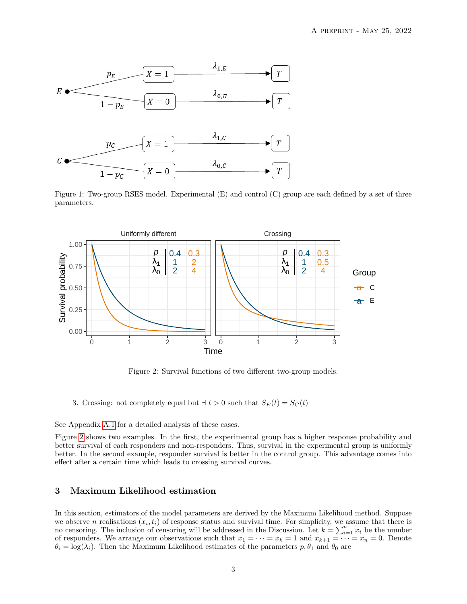

<span id="page-2-0"></span>Figure 1: Two-group RSES model. Experimental (E) and control (C) group are each defined by a set of three parameters.



<span id="page-2-1"></span>Figure 2: Survival functions of two different two-group models.

3. Crossing: not completely equal but  $\exists t > 0$  such that  $S_E(t) = S_C(t)$ 

See Appendix [A.1](#page-12-0) for a detailed analysis of these cases.

Figure [2](#page-2-1) shows two examples. In the first, the experimental group has a higher response probability and better survival of each responders and non-responders. Thus, survival in the experimental group is uniformly better. In the second example, responder survival is better in the control group. This advantage comes into effect after a certain time which leads to crossing survival curves.

# <span id="page-2-2"></span>**3 Maximum Likelihood estimation**

In this section, estimators of the model parameters are derived by the Maximum Likelihood method. Suppose we observe *n* realisations  $(x_i, t_i)$  of response status and survival time. For simplicity, we assume that there is no censoring. The inclusion of censoring will be addressed in the Discussion. Let  $k = \sum_{i=1}^{n} x_i$  be the number of responders. We arrange our observations such that  $x_1 = \cdots = x_k = 1$  and  $x_{k+1} = \cdots = x_n = 0$ . Denote  $\theta_i = \log(\lambda_i)$ . Then the Maximum Likelihood estimates of the parameters  $p, \theta_1$  and  $\theta_0$  are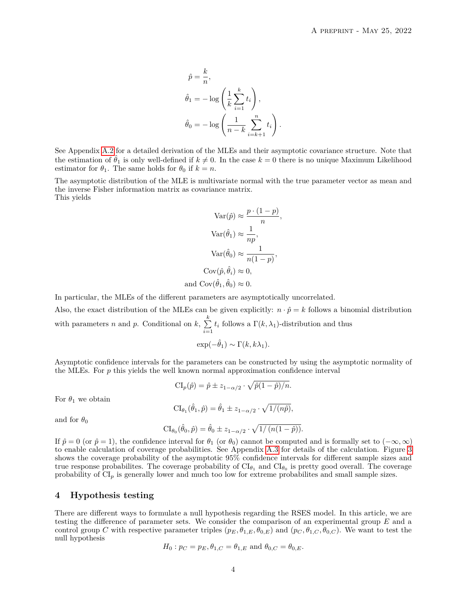$$
\hat{p} = \frac{k}{n},
$$
  
\n
$$
\hat{\theta}_1 = -\log\left(\frac{1}{k}\sum_{i=1}^k t_i\right),
$$
  
\n
$$
\hat{\theta}_0 = -\log\left(\frac{1}{n-k}\sum_{i=k+1}^n t_i\right).
$$

See Appendix [A.2](#page-13-0) for a detailed derivation of the MLEs and their asymptotic covariance structure. Note that the estimation of  $\hat{\theta}_1$  is only well-defined if  $k \neq 0$ . In the case  $k = 0$  there is no unique Maximum Likelihood estimator for  $\theta_1$ . The same holds for  $\theta_0$  if  $k = n$ .

The asymptotic distribution of the MLE is multivariate normal with the true parameter vector as mean and the inverse Fisher information matrix as covariance matrix. This yields

$$
Var(\hat{p}) \approx \frac{p \cdot (1 - p)}{n},
$$

$$
Var(\hat{\theta}_1) \approx \frac{1}{np},
$$

$$
Var(\hat{\theta}_0) \approx \frac{1}{n(1 - p)},
$$

$$
Cov(\hat{p}, \hat{\theta}_i) \approx 0,
$$
and 
$$
Cov(\hat{\theta}_1, \hat{\theta}_0) \approx 0.
$$

*,*

In particular, the MLEs of the different parameters are asymptotically uncorrelated.

Also, the exact distribution of the MLEs can be given explicitly:  $n \cdot \hat{p} = k$  follows a binomial distribution with parameters *n* and *p*. Conditional on *k*,  $\sum_{k=1}^{k}$  $\sum_{i=1} t_i$  follows a  $\Gamma(k, \lambda_1)$ -distribution and thus

$$
\exp(-\hat{\theta}_1) \sim \Gamma(k, k\lambda_1).
$$

Asymptotic confidence intervals for the parameters can be constructed by using the asymptotic normality of the MLEs. For *p* this yields the well known normal approximation confidence interval

$$
CI_p(\hat{p}) = \hat{p} \pm z_{1-\alpha/2} \cdot \sqrt{\hat{p}(1-\hat{p})/n}.
$$

For  $\theta_1$  we obtain

$$
CI_{\theta_1}(\hat{\theta}_1, \hat{p}) = \hat{\theta}_1 \pm z_{1-\alpha/2} \cdot \sqrt{1/(n\hat{p})},
$$

and for  $\theta_0$ 

$$
CI_{\theta_0}(\hat{\theta}_0, \hat{p}) = \hat{\theta}_0 \pm z_{1-\alpha/2} \cdot \sqrt{1/(n(1-\hat{p}))}.
$$

If  $\hat{p} = 0$  (or  $\hat{p} = 1$ ), the confidence interval for  $\theta_1$  (or  $\theta_0$ ) cannot be computed and is formally set to  $(-\infty, \infty)$ to enable calculation of coverage probabilities. See Appendix [A.3](#page-13-1) for details of the calculation. Figure [3](#page-4-0) shows the coverage probability of the asymptotic 95% confidence intervals for different sample sizes and true response probabilites. The coverage probability of  $CI_{\theta_1}$  and  $CI_{\theta_0}$  is pretty good overall. The coverage probability of  $CI_p$  is generally lower and much too low for extreme probabilites and small sample sizes.

# **4 Hypothesis testing**

There are different ways to formulate a null hypothesis regarding the RSES model. In this article, we are testing the difference of parameter sets. We consider the comparison of an experimental group *E* and a control group *C* with respective parameter triples  $(p_E, \theta_{1,E}, \theta_{0,E})$  and  $(p_C, \theta_{1,C}, \theta_{0,C})$ . We want to test the null hypothesis

$$
H_0: p_C = p_E, \theta_{1,C} = \theta_{1,E}
$$
 and  $\theta_{0,C} = \theta_{0,E}$ .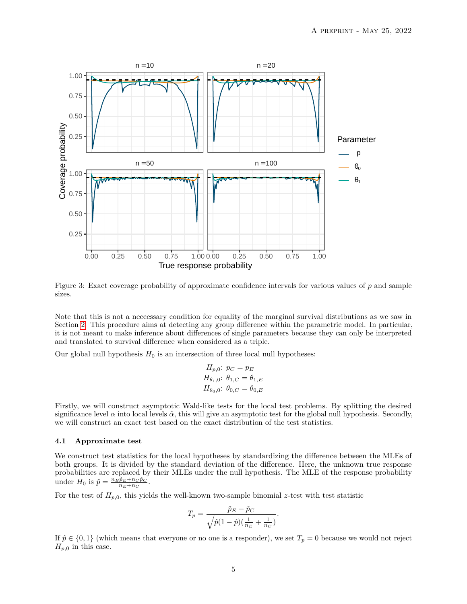

Figure 3: Exact coverage probability of approximate confidence intervals for various values of *p* and sample sizes.

Note that this is not a neccessary condition for equality of the marginal survival distributions as we saw in Section [2.](#page-1-0) This procedure aims at detecting any group difference within the parametric model. In particular, it is not meant to make inference about differences of single parameters because they can only be interpreted and translated to survival difference when considered as a triple.

Our global null hypothesis  $H_0$  is an intersection of three local null hypotheses:

<span id="page-4-0"></span>
$$
H_{p,0}: p_C = p_E
$$
  
\n
$$
H_{\theta_1,0}: \theta_{1,C} = \theta_{1,E}
$$
  
\n
$$
H_{\theta_0,0}: \theta_{0,C} = \theta_{0,E}
$$

Firstly, we will construct asymptotic Wald-like tests for the local test problems. By splitting the desired significance level  $\alpha$  into local levels  $\tilde{\alpha}$ , this will give an asymptotic test for the global null hypothesis. Secondly, we will construct an exact test based on the exact distribution of the test statistics.

#### **4.1 Approximate test**

We construct test statistics for the local hypotheses by standardizing the difference between the MLEs of both groups. It is divided by the standard deviation of the difference. Here, the unknown true response probabilities are replaced by their MLEs under the null hypothesis. The MLE of the response probability under  $H_0$  is  $\hat{p} = \frac{n_E \hat{p}_E + n_C \hat{p}_C}{n_E + n_C}$ .

For the test of  $H_{p,0}$ , this yields the well-known two-sample binomial *z*-test with test statistic

$$
T_p = \frac{\hat{p}_E - \hat{p}_C}{\sqrt{\hat{p}(1-\hat{p})(\frac{1}{n_E} + \frac{1}{n_C})}}.
$$

If  $\hat{p} \in \{0,1\}$  (which means that everyone or no one is a responder), we set  $T_p = 0$  because we would not reject  $H_{p,0}$  in this case.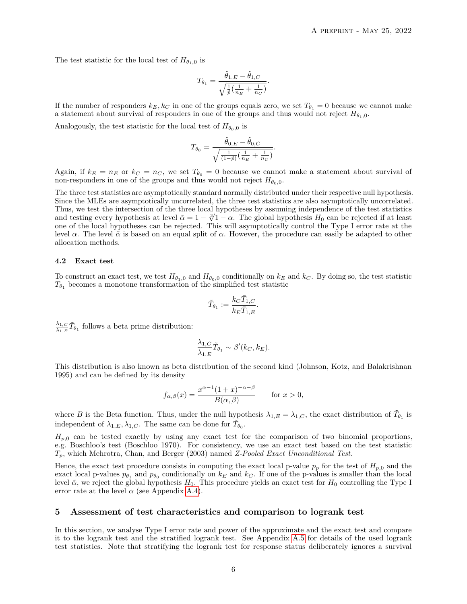The test statistic for the local test of  $H_{\theta_{1},0}$  is

$$
T_{\theta_1} = \frac{\hat{\theta}_{1,E} - \hat{\theta}_{1,C}}{\sqrt{\frac{1}{\hat{p}}\left(\frac{1}{n_E} + \frac{1}{n_C}\right)}}.
$$

If the number of responders  $k_E, k_C$  in one of the groups equals zero, we set  $T_{\theta_1} = 0$  because we cannot make a statement about survival of responders in one of the groups and thus would not reject  $H_{\theta_1,0}$ .

Analogously, the test statistic for the local test of  $H_{\theta_0,0}$  is

$$
T_{\theta_0} = \frac{\hat{\theta}_{0,E} - \hat{\theta}_{0,C}}{\sqrt{\frac{1}{(1-\hat{p})}\left(\frac{1}{n_E} + \frac{1}{n_C}\right)}}.
$$

Again, if  $k_E = n_E$  or  $k_C = n_C$ , we set  $T_{\theta_0} = 0$  because we cannot make a statement about survival of non-responders in one of the groups and thus would not reject  $H_{\theta_0,0}$ .

The three test statistics are asymptotically standard normally distributed under their respective null hypothesis. Since the MLEs are asymptotically uncorrelated, the three test statistics are also asymptotically uncorrelated. Thus, we test the intersection of the three local hypotheses by assuming independence of the test statistics<br>and testing overy hypothesis at lovel  $\tilde{\alpha} = 1 - \frac{3}{10}$ . The global hypothesis H, can be rejected if at locat and testing every hypothesis at level  $\tilde{\alpha} = 1 - \sqrt[3]{1 - \alpha}$ . The global hypothesis  $H_0$  can be rejected if at least one of the local hypotheses can be rejected. This will asymptotically control the Type I error rate at the level *α*. The level  $\tilde{\alpha}$  is based on an equal split of *α*. However, the procedure can easily be adapted to other allocation methods.

#### <span id="page-5-0"></span>**4.2 Exact test**

To construct an exact test, we test  $H_{\theta_1,0}$  and  $H_{\theta_0,0}$  conditionally on  $k_E$  and  $k_C$ . By doing so, the test statistic  $T_{\theta_1}$  becomes a monotone transformation of the simplified test statistic

$$
\tilde{T}_{\theta_1}:=\frac{k_C\bar{T}_{1,C}}{k_E\bar{T}_{1,E}}.
$$

 $\lambda_{1,C}$  $\frac{\lambda_{1,C}}{\lambda_{1,E}} \tilde{T}_{\theta_1}$  follows a beta prime distribution:

$$
\frac{\lambda_{1,C}}{\lambda_{1,E}} \tilde{T}_{\theta_1} \sim \beta'(k_C, k_E).
$$

This distribution is also known as beta distribution of the second kind (Johnson, Kotz, and Balakrishnan 1995) and can be defined by its density

$$
f_{\alpha,\beta}(x) = \frac{x^{\alpha-1}(1+x)^{-\alpha-\beta}}{B(\alpha,\beta)} \quad \text{for } x > 0,
$$

where *B* is the Beta function. Thus, under the null hypothesis  $\lambda_{1,E} = \lambda_{1,C}$ , the exact distribution of  $\tilde{T}_{\theta_1}$  is independent of  $\lambda_{1,E}, \lambda_{1,C}$ . The same can be done for  $\tilde{T}_{\theta_0}$ .

 $H_{p,0}$  can be tested exactly by using any exact test for the comparison of two binomial proportions, e.g. Boschloo's test (Boschloo 1970). For consistency, we use an exact test based on the test statistic *Tp*, which Mehrotra, Chan, and Berger (2003) named *Z-Pooled Exact Unconditional Test*.

Hence, the exact test procedure consists in computing the exact local p-value  $p_p$  for the test of  $H_{p,0}$  and the exact local p-values  $p_{\theta_1}$  and  $p_{\theta_0}$  conditionally on  $k_E$  and  $k_C$ . If one of the p-values is smaller than the local level  $\tilde{\alpha}$ , we reject the global hypothesis  $H_0$ . This procedure yields an exact test for  $H_0$  controlling the Type I error rate at the level  $\alpha$  (see Appendix [A.4\)](#page-14-0).

### **5 Assessment of test characteristics and comparison to logrank test**

In this section, we analyse Type I error rate and power of the approximate and the exact test and compare it to the logrank test and the stratified logrank test. See Appendix [A.5](#page-14-1) for details of the used logrank test statistics. Note that stratifying the logrank test for response status deliberately ignores a survival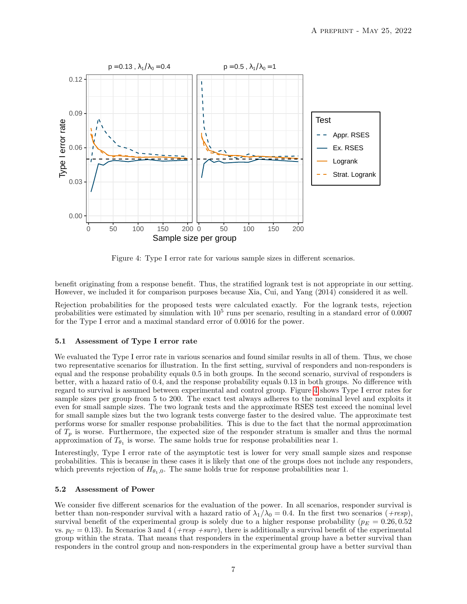

<span id="page-6-0"></span>Figure 4: Type I error rate for various sample sizes in different scenarios.

benefit originating from a response benefit. Thus, the stratified logrank test is not appropriate in our setting. However, we included it for comparison purposes because Xia, Cui, and Yang (2014) considered it as well.

Rejection probabilities for the proposed tests were calculated exactly. For the logrank tests, rejection probabilities were estimated by simulation with  $10^5$  runs per scenario, resulting in a standard error of 0.0007 for the Type I error and a maximal standard error of 0.0016 for the power.

### **5.1 Assessment of Type I error rate**

We evaluated the Type I error rate in various scenarios and found similar results in all of them. Thus, we chose two representative scenarios for illustration. In the first setting, survival of responders and non-responders is equal and the response probability equals 0.5 in both groups. In the second scenario, survival of responders is better, with a hazard ratio of 0.4, and the response probability equals 0.13 in both groups. No difference with regard to survival is assumed between experimental and control group. Figure [4](#page-6-0) shows Type I error rates for sample sizes per group from 5 to 200. The exact test always adheres to the nominal level and exploits it even for small sample sizes. The two logrank tests and the approximate RSES test exceed the nominal level for small sample sizes but the two logrank tests converge faster to the desired value. The approximate test performs worse for smaller response probabilities. This is due to the fact that the normal approximation of  $T_p$  is worse. Furthermore, the expected size of the responder stratum is smaller and thus the normal approximation of  $T_{\theta_1}$  is worse. The same holds true for response probabilities near 1.

Interestingly, Type I error rate of the asymptotic test is lower for very small sample sizes and response probabilities. This is because in these cases it is likely that one of the groups does not include any responders, which prevents rejection of  $H_{\theta_1,0}$ . The same holds true for response probabilities near 1.

### <span id="page-6-1"></span>**5.2 Assessment of Power**

We consider five different scenarios for the evaluation of the power. In all scenarios, responder survival is better than non-responder survival with a hazard ratio of  $\lambda_1/\lambda_0 = 0.4$ . In the first two scenarios (*+resp*), survival benefit of the experimental group is solely due to a higher response probability ( $p_E = 0.26, 0.52$ ) vs.  $p_C = 0.13$ ). In Scenarios 3 and 4 (*+resp +surv*), there is additionally a survival benefit of the experimental group within the strata. That means that responders in the experimental group have a better survival than responders in the control group and non-responders in the experimental group have a better survival than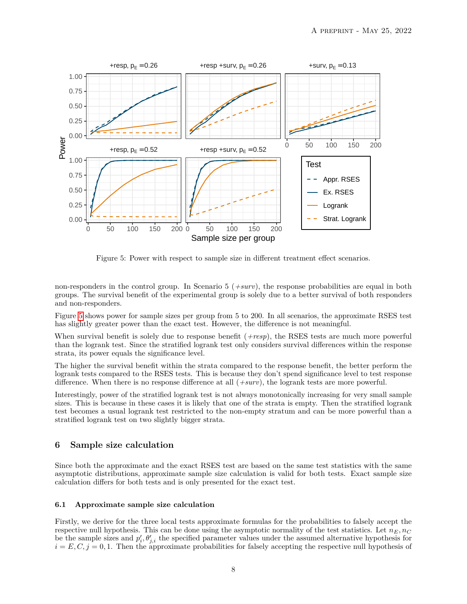

<span id="page-7-0"></span>Figure 5: Power with respect to sample size in different treatment effect scenarios.

non-responders in the control group. In Scenario 5 (*+surv*), the response probabilities are equal in both groups. The survival benefit of the experimental group is solely due to a better survival of both responders and non-responders.

Figure [5](#page-7-0) shows power for sample sizes per group from 5 to 200. In all scenarios, the approximate RSES test has slightly greater power than the exact test. However, the difference is not meaningful.

When survival benefit is solely due to response benefit (*+resp*), the RSES tests are much more powerful than the logrank test. Since the stratified logrank test only considers survival differences within the response strata, its power equals the significance level.

The higher the survival benefit within the strata compared to the response benefit, the better perform the logrank tests compared to the RSES tests. This is because they don't spend significance level to test response difference. When there is no response difference at all (*+surv*), the logrank tests are more powerful.

Interestingly, power of the stratified logrank test is not always monotonically increasing for very small sample sizes. This is because in these cases it is likely that one of the strata is empty. Then the stratified logrank test becomes a usual logrank test restricted to the non-empty stratum and can be more powerful than a stratified logrank test on two slightly bigger strata.

# <span id="page-7-1"></span>**6 Sample size calculation**

Since both the approximate and the exact RSES test are based on the same test statistics with the same asymptotic distributions, approximate sample size calculation is valid for both tests. Exact sample size calculation differs for both tests and is only presented for the exact test.

#### **6.1 Approximate sample size calculation**

Firstly, we derive for the three local tests approximate formulas for the probabilities to falsely accept the respective null hypothesis. This can be done using the asymptotic normality of the test statistics. Let  $n_E, n_C$ be the sample sizes and  $p'_i, \theta'_{j,i}$  the specified parameter values under the assumed alternative hypothesis for  $i = E, C, j = 0, 1$ . Then the approximate probabilities for falsely accepting the respective null hypothesis of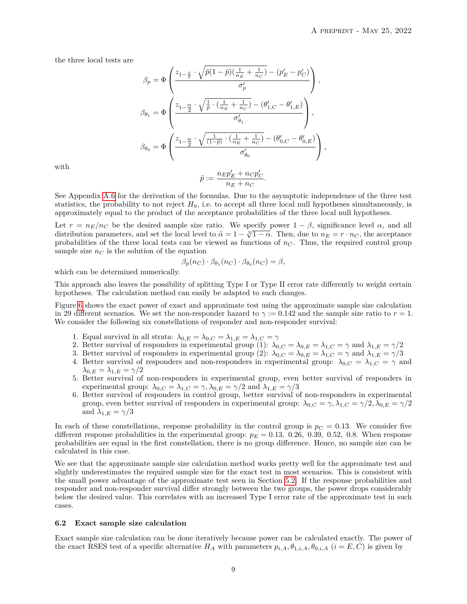the three local tests are

$$
\begin{split} \beta_p &= \Phi\left(\frac{z_{1-\frac{\tilde{\alpha}}{2}}\cdot\sqrt{\tilde{p}(1-\tilde{p})(\frac{1}{n_E}+\frac{1}{n_C})}-(p_E'-p_C')}{\sigma_p'}\right),\\ \beta_{\theta_1} &= \Phi\left(\frac{z_{1-\frac{\alpha}{2}}\cdot\sqrt{\frac{1}{\tilde{p}}\cdot(\frac{1}{n_E}+\frac{1}{n_C})}-(\theta_{1,C}'-\theta_{1,E}')}{\sigma_{\theta_1}'}\right),\\ \beta_{\theta_0} &= \Phi\left(\frac{z_{1-\frac{\alpha}{2}}\cdot\sqrt{\frac{1}{(1-\tilde{p})}\cdot(\frac{1}{n_E}+\frac{1}{n_C})}-(\theta_{0,C}'-\theta_{0,E}')}{\sigma_{\theta_0}'}\right), \end{split}
$$

with

$$
\tilde{p}:=\frac{n_Ep_E'+n_Cp_C'}{n_E+n_C}.
$$

See Appendix [A.6](#page-15-0) for the derivation of the formulas. Due to the asymptotic independence of the three test statistics, the probability to not reject  $H_0$ , i.e. to accept all three local null hypotheses simultaneously, is approximately equal to the product of the acceptance probabilities of the three local null hypotheses.

Let  $r = n_E/n_C$  be the desired sample size ratio. We specify power  $1 - \beta$ , significance level  $\alpha$ , and all Let  $r = n_E/n_C$  be the desired sample size ratio. We specify power  $1 - p$ , significance level *α*, and all distribution parameters, and set the local level to  $\tilde{\alpha} = 1 - \sqrt[3]{1 - \alpha}$ . Then, due to  $n_E = r \cdot n_C$ , the acceptance probabilities of the three local tests can be viewed as functions of  $n<sub>C</sub>$ . Thus, the required control group sample size  $n<sub>C</sub>$  is the solution of the equation

$$
\beta_p(n_C) \cdot \beta_{\theta_1}(n_C) \cdot \beta_{\theta_0}(n_C) = \beta,
$$

which can be determined numerically.

This approach also leaves the possibility of splitting Type I or Type II error rate differently to weight certain hypotheses. The calculation method can easily be adapted to such changes.

Figure [6](#page-9-0) shows the exact power of exact and approximate test using the approximate sample size calculation in 29 different scenarios. We set the non-responder hazard to  $\gamma := 0.142$  and the sample size ratio to  $r = 1$ . We consider the following six constellations of responder and non-responder survival:

- 1. Equal survival in all strata:  $\lambda_{0,E} = \lambda_{0,C} = \lambda_{1,E} = \lambda_{1,C} = \gamma$
- 2. Better survival of responders in experimental group (1):  $\lambda_{0,C} = \lambda_{0,E} = \lambda_{1,C} = \gamma$  and  $\lambda_{1,E} = \gamma/2$
- 3. Better survival of responders in experimental group (2):  $\lambda_{0,C} = \lambda_{0,E} = \lambda_{1,C} = \gamma$  and  $\lambda_{1,E} = \gamma/3$
- 4. Better survival of responders and non-responders in experimental group:  $\lambda_{0,C} = \lambda_{1,C} = \gamma$  and *λ*<sub>0*,E*</sub> =  $λ$ <sub>1*,E*</sub> =  $γ/2$
- 5. Better survival of non-responders in experimental group, even better survival of responders in experimental group:  $\lambda_{0,C} = \lambda_{1,C} = \gamma, \lambda_{0,E} = \gamma/2$  and  $\lambda_{1,E} = \gamma/3$
- 6. Better survival of responders in control group, better survival of non-responders in experimental group, even better survival of responders in experimental group:  $\lambda_{0,C} = \gamma, \lambda_{1,C} = \gamma/2, \lambda_{0,E} = \gamma/2$ and  $\lambda_{1,E} = \gamma/3$

In each of these constellations, response probability in the control group is  $p_C = 0.13$ . We consider five different response probabilities in the experimental group:  $p_E = 0.13$ , 0.26, 0.39, 0.52, 0.8. When response probabilities are equal in the first constellation, there is no group difference. Hence, no sample size can be calculated in this case.

We see that the approximate sample size calculation method works pretty well for the approximate test and slightly underestimates the required sample size for the exact test in most scenarios. This is consistent with the small power advantage of the approximate test seen in Section [5.2.](#page-6-1) If the response probabilities and responder and non-responder survival differ strongly between the two groups, the power drops considerably below the desired value. This correlates with an increased Type I error rate of the approximate test in such cases.

#### **6.2 Exact sample size calculation**

Exact sample size calculation can be done iteratively because power can be calculated exactly. The power of the exact RSES test of a specific alternative  $H_A$  with parameters  $p_{i,A}, \theta_{1,i,A}, \theta_{0,i,A}$  ( $i = E, C$ ) is given by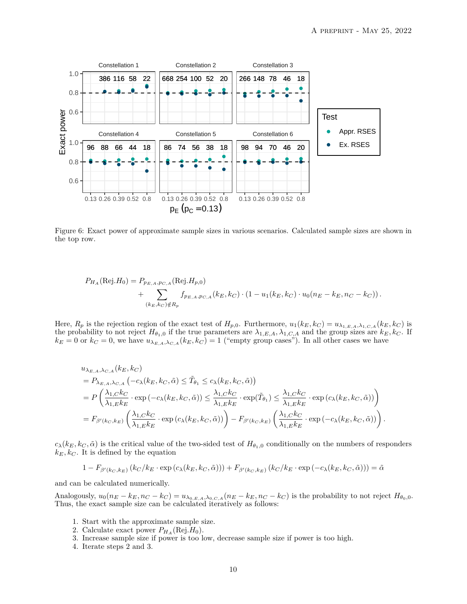

Figure 6: Exact power of approximate sample sizes in various scenarios. Calculated sample sizes are shown in the top row.

<span id="page-9-0"></span>
$$
P_{H_A}(\text{Rej}.H_0) = P_{p_{E,A},p_{C,A}}(\text{Rej}.H_{p,0}) + \sum_{(k_E,k_C)\notin R_p} f_{p_{E,A},p_{C,A}}(k_E,k_C) \cdot (1 - u_1(k_E,k_C) \cdot u_0(n_E - k_E, n_C - k_C)).
$$

Here,  $R_p$  is the rejection region of the exact test of  $H_{p,0}$ . Furthermore,  $u_1(k_E, k_C) = u_{\lambda_{1,E,A},\lambda_{1,C,A}}(k_E, k_C)$  is the probability to not reject  $H_{\theta_1,0}$  if the true parameters are  $\lambda_{1,E,A}, \lambda_{1,C,A}$  and the group sizes are  $k_E, k_C$ . If  $k_E = 0$  or  $k_C = 0$ , we have  $u_{\lambda_{E,A},\lambda_{C,A}}(k_E, k_C) = 1$  ("empty group cases"). In all other cases we have

$$
u_{\lambda_{E,A},\lambda_{C,A}}(k_E, k_C)
$$
  
=  $P_{\lambda_{E,A},\lambda_{C,A}}(-c_{\lambda}(k_E, k_C, \tilde{\alpha}) \leq \tilde{T}_{\theta_1} \leq c_{\lambda}(k_E, k_C, \tilde{\alpha}))$   
=  $P\left(\frac{\lambda_{1,C}k_C}{\lambda_{1,E}k_E} \cdot \exp(-c_{\lambda}(k_E, k_C, \tilde{\alpha})) \leq \frac{\lambda_{1,C}k_C}{\lambda_{1,E}k_E} \cdot \exp(\tilde{T}_{\theta_1}) \leq \frac{\lambda_{1,C}k_C}{\lambda_{1,E}k_E} \cdot \exp(c_{\lambda}(k_E, k_C, \tilde{\alpha}))\right)$   
=  $F_{\beta'(k_C, k_E)}\left(\frac{\lambda_{1,C}k_C}{\lambda_{1,E}k_E} \cdot \exp(c_{\lambda}(k_E, k_C, \tilde{\alpha}))\right) - F_{\beta'(k_C, k_E)}\left(\frac{\lambda_{1,C}k_C}{\lambda_{1,E}k_E} \cdot \exp(-c_{\lambda}(k_E, k_C, \tilde{\alpha}))\right).$ 

 $c_{\lambda}(k_E, k_C, \tilde{\alpha})$  is the critical value of the two-sided test of  $H_{\theta_1,0}$  conditionally on the numbers of responders  $k_E, k_C$ . It is defined by the equation

$$
1 - F_{\beta'(k_C, k_E)}(k_C/k_E \cdot \exp(c_{\lambda}(k_E, k_C, \tilde{\alpha}))) + F_{\beta'(k_C, k_E)}(k_C/k_E \cdot \exp(-c_{\lambda}(k_E, k_C, \tilde{\alpha}))) = \tilde{\alpha}
$$

and can be calculated numerically.

Analogously,  $u_0(n_E - k_E, n_C - k_C) = u_{\lambda_{0,E,A},\lambda_{0,C,A}}(n_E - k_E, n_C - k_C)$  is the probability to not reject  $H_{\theta_0,0}$ . Thus, the exact sample size can be calculated iteratively as follows:

- 1. Start with the approximate sample size.
- 2. Calculate exact power  $P_{H_A}(\text{Rej}.H_0)$ .
- 3. Increase sample size if power is too low, decrease sample size if power is too high.
- 4. Iterate steps 2 and 3.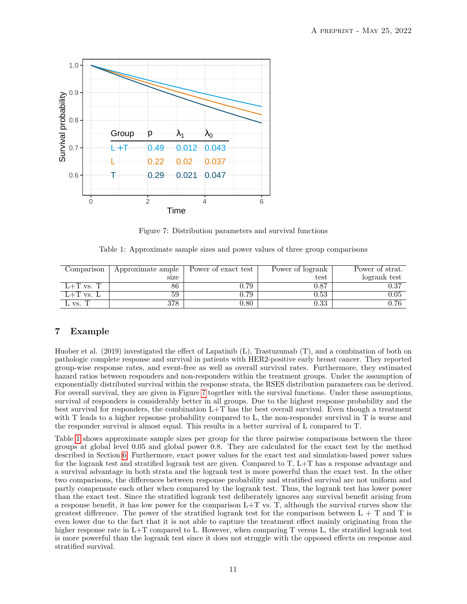

<span id="page-10-0"></span>Figure 7: Distribution parameters and survival functions

Table 1: Approximate sample sizes and power values of three group comparisons

<span id="page-10-1"></span>

| Comparison       | Approximate ample | Power of exact test | Power of logrank | Power of strat. |
|------------------|-------------------|---------------------|------------------|-----------------|
|                  | size              |                     | test             | logrank test    |
| $L+T$ vs.        | 86                | ${0.79}$            | 0.87             | $\rm 0.37$      |
| ⊥+'I' vs. ⊥      | 59                | ${0.79}$            | $\rm 0.53$       | $0.05\,$        |
| $\mathbf{V}$ VS. | 378               | $0.80\,$            | $\rm 0.33$       | $0.76\,$        |

# **7 Example**

Huober et al. (2019) investigated the effect of Lapatinib (L), Trastuzumab (T), and a combination of both on pathologic complete response and survival in patients with HER2-positive early breast cancer. They reported group-wise response rates, and event-free as well as overall survival rates. Furthermore, they estimated hazard ratios between responders and non-responders within the treatment groups. Under the assumption of exponentially distributed survival within the response strata, the RSES distribution parameters can be derived. For overall survival, they are given in Figure [7](#page-10-0) together with the survival functions. Under these assumptions, survival of responders is considerably better in all groups. Due to the highest response probability and the best survival for responders, the combination L+T has the best overall survival. Even though a treatment with T leads to a higher repsonse probability compared to L, the non-responder survival in T is worse and the responder survival is almost equal. This results in a better survival of L compared to T.

Table [1](#page-10-1) shows approximate sample sizes per group for the three pairwise comparisons between the three groups at global level 0.05 and global power 0.8. They are calculated for the exact test by the method described in Section [6.](#page-7-1) Furthermore, exact power values for the exact test and simulation-based power values for the logrank test and stratified logrank test are given. Compared to T, L+T has a response advantage and a survival advantage in both strata and the logrank test is more powerful than the exact test. In the other two comparisons, the differences between response probability and stratified survival are not uniform and partly compensate each other when compared by the logrank test. Thus, the logrank test has lower power than the exact test. Since the stratified logrank test deliberately ignores any survival benefit arising from a response benefit, it has low power for the comparison  $L+T$  vs. T, although the survival curves show the greatest difference. The power of the stratified logrank test for the comparison between  $L + T$  and T is even lower due to the fact that it is not able to capture the treatment effect mainly originating from the higher response rate in L+T compared to L. However, when comparing T versus L, the stratified logrank test is more powerful than the logrank test since it does not struggle with the opposed effects on response and stratified survival.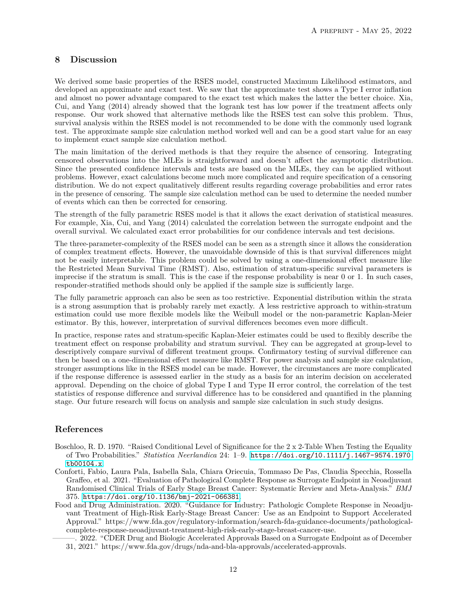# **8 Discussion**

We derived some basic properties of the RSES model, constructed Maximum Likelihood estimators, and developed an approximate and exact test. We saw that the approximate test shows a Type I error inflation and almost no power advantage compared to the exact test which makes the latter the better choice. Xia, Cui, and Yang (2014) already showed that the logrank test has low power if the treatment affects only response. Our work showed that alternative methods like the RSES test can solve this problem. Thus, survival analysis within the RSES model is not recommended to be done with the commonly used logrank test. The approximate sample size calculation method worked well and can be a good start value for an easy to implement exact sample size calculation method.

The main limitation of the derived methods is that they require the absence of censoring. Integrating censored observations into the MLEs is straightforward and doesn't affect the asymptotic distribution. Since the presented confidence intervals and tests are based on the MLEs, they can be applied without problems. However, exact calculations become much more complicated and require specification of a censoring distribution. We do not expect qualitatively different results regarding coverage probabilities and error rates in the presence of censoring. The sample size calculation method can be used to determine the needed number of events which can then be corrected for censoring.

The strength of the fully parametric RSES model is that it allows the exact derivation of statistical measures. For example, Xia, Cui, and Yang (2014) calculated the correlation between the surrogate endpoint and the overall survival. We calculated exact error probabilities for our confidence intervals and test decisions.

The three-parameter-complexity of the RSES model can be seen as a strength since it allows the consideration of complex treatment effects. However, the unavoidable downside of this is that survival differences might not be easily interpretable. This problem could be solved by using a one-dimensional effect measure like the Restricted Mean Survival Time (RMST). Also, estimation of stratum-specific survival parameters is imprecise if the stratum is small. This is the case if the response probability is near 0 or 1. In such cases, responder-stratified methods should only be applied if the sample size is sufficiently large.

The fully parametric approach can also be seen as too restrictive. Exponential distribution within the strata is a strong assumption that is probably rarely met exactly. A less restrictive approach to within-stratum estimation could use more flexible models like the Weibull model or the non-parametric Kaplan-Meier estimator. By this, however, interpretation of survival differences becomes even more difficult.

In practice, response rates and stratum-specific Kaplan-Meier estimates could be used to flexibly describe the treatment effect on response probability and stratum survival. They can be aggregated at group-level to descriptively compare survival of different treatment groups. Confirmatory testing of survival difference can then be based on a one-dimensional effect measure like RMST. For power analysis and sample size calculation, stronger assumptions like in the RSES model can be made. However, the circumstances are more complicated if the response difference is assessed earlier in the study as a basis for an interim decision on accelerated approval. Depending on the choice of global Type I and Type II error control, the correlation of the test statistics of response difference and survival difference has to be considered and quantified in the planning stage. Our future research will focus on analysis and sample size calculation in such study designs.

# **References**

- Boschloo, R. D. 1970. "Raised Conditional Level of Significance for the 2 x 2-Table When Testing the Equality of Two Probabilities." *Statistica Neerlandica* 24: 1–9. [https://doi.org/10.1111/j.1467-9574.1970.](https://doi.org/10.1111/j.1467-9574.1970.tb00104.x) [tb00104.x](https://doi.org/10.1111/j.1467-9574.1970.tb00104.x).
- Conforti, Fabio, Laura Pala, Isabella Sala, Chiara Oriecuia, Tommaso De Pas, Claudia Specchia, Rossella Graffeo, et al. 2021. "Evaluation of Pathological Complete Response as Surrogate Endpoint in Neoadjuvant Randomised Clinical Trials of Early Stage Breast Cancer: Systematic Review and Meta-Analysis." *BMJ* 375. <https://doi.org/10.1136/bmj-2021-066381>.
- Food and Drug Administration. 2020. "Guidance for Industry: Pathologic Complete Response in Neoadjuvant Treatment of High-Risk Early-Stage Breast Cancer: Use as an Endpoint to Support Accelerated Approval." https://www.fda.gov/regulatory-information/search-fda-guidance-documents/pathologicalcomplete-response-neoadjuvant-treatment-high-risk-early-stage-breast-cancer-use.
	- ———. 2022. "CDER Drug and Biologic Accelerated Approvals Based on a Surrogate Endpoint as of December 31, 2021." https://www.fda.gov/drugs/nda-and-bla-approvals/accelerated-approvals.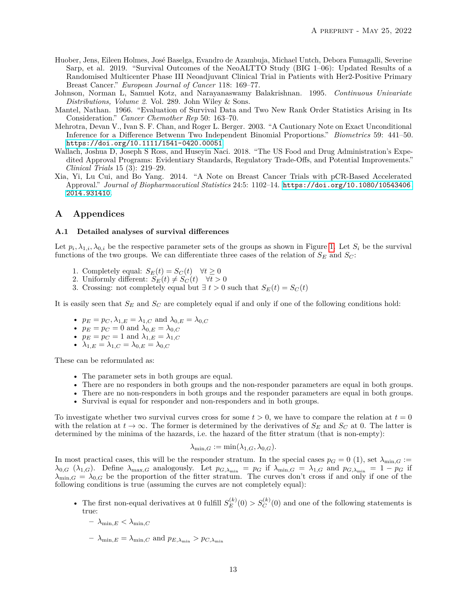- Huober, Jens, Eileen Holmes, José Baselga, Evandro de Azambuja, Michael Untch, Debora Fumagalli, Severine Sarp, et al. 2019. "Survival Outcomes of the NeoALTTO Study (BIG 1–06): Updated Results of a Randomised Multicenter Phase III Neoadjuvant Clinical Trial in Patients with Her2-Positive Primary Breast Cancer." *European Journal of Cancer* 118: 169–77.
- Johnson, Norman L, Samuel Kotz, and Narayanaswamy Balakrishnan. 1995. *Continuous Univariate Distributions, Volume 2*. Vol. 289. John Wiley & Sons.
- Mantel, Nathan. 1966. "Evaluation of Survival Data and Two New Rank Order Statistics Arising in Its Consideration." *Cancer Chemother Rep* 50: 163–70.
- Mehrotra, Devan V., Ivan S. F. Chan, and Roger L. Berger. 2003. "A Cautionary Note on Exact Unconditional Inference for a Difference Betwenn Two Independent Binomial Proportions." *Biometrics* 59: 441–50. <https://doi.org/10.1111/1541-0420.00051>.
- Wallach, Joshua D, Joseph S Ross, and Huseyin Naci. 2018. "The US Food and Drug Administration's Expedited Approval Programs: Evidentiary Standards, Regulatory Trade-Offs, and Potential Improvements." *Clinical Trials* 15 (3): 219–29.
- Xia, Yi, Lu Cui, and Bo Yang. 2014. "A Note on Breast Cancer Trials with pCR-Based Accelerated Approval." *Journal of Biopharmaceutical Statistics* 24:5: 1102–14. [https://doi.org/10.1080/10543406.](https://doi.org/10.1080/10543406.2014.931410) [2014.931410](https://doi.org/10.1080/10543406.2014.931410).

# **A Appendices**

### <span id="page-12-0"></span>**A.1 Detailed analyses of survival differences**

Let  $p_i, \lambda_{1,i}, \lambda_{0,i}$  be the respective parameter sets of the groups as shown in Figure [1.](#page-2-0) Let  $S_i$  be the survival functions of the two groups. We can differentiate three cases of the relation of  $S_E$  and  $S_C$ :

- 1. Completely equal:  $S_E(t) = S_C(t) \quad \forall t \geq 0$
- 2. Uniformly different:  $S_E(t) \neq S_C(t) \quad \forall t > 0$
- 3. Crossing: not completely equal but  $\exists t > 0$  such that  $S_E(t) = S_C(t)$

It is easily seen that *S<sup>E</sup>* and *S<sup>C</sup>* are completely equal if and only if one of the following conditions hold:

- $p_E = p_C, \lambda_{1,E} = \lambda_{1,C}$  and  $\lambda_{0,E} = \lambda_{0,C}$
- $p_E = p_C = 0$  and  $\lambda_{0,E} = \lambda_{0,C}$
- $p_E = p_C = 1$  and  $\lambda_{1,E} = \lambda_{1,C}$
- $\lambda_{1,E} = \lambda_{1,C} = \lambda_{0,E} = \lambda_{0,C}$

These can be reformulated as:

- The parameter sets in both groups are equal.
- There are no responders in both groups and the non-responder parameters are equal in both groups.
- There are no non-responders in both groups and the responder parameters are equal in both groups.
- Survival is equal for responder and non-responders and in both groups.

To investigate whether two survival curves cross for some  $t > 0$ , we have to compare the relation at  $t = 0$ with the relation at  $t \to \infty$ . The former is determined by the derivatives of  $S_E$  and  $S_C$  at 0. The latter is determined by the minima of the hazards, i.e. the hazard of the fitter stratum (that is non-empty):

$$
\lambda_{\min,G} := \min(\lambda_{1,G}, \lambda_{0,G}).
$$

In most practical cases, this will be the responder stratum. In the special cases  $p_G = 0$  (1), set  $\lambda_{\min,G}$  :=  $\lambda_{0,G}$  ( $\lambda_{1,G}$ ). Define  $\lambda_{\max,G}$  analogously. Let  $p_{G,\lambda_{\min}} = p_G$  if  $\lambda_{\min,G} = \lambda_{1,G}$  and  $p_{G,\lambda_{\min}} = 1 - p_G$  if  $\lambda_{\min,G} = \lambda_{0,G}$  be the proportion of the fitter stratum. The curves don't cross if and only if one of the following conditions is true (assuming the curves are not completely equal):

- The first non-equal derivatives at 0 fulfill  $S_F^{(k)}$  $E_E^{(k)}(0) > S_C^{(k)}(0)$  and one of the following statements is true:
	- $\lambda_{\min,E} < \lambda_{\min,C}$
	- $-\lambda_{\min,E} = \lambda_{\min,C}$  and  $p_{E,\lambda_{\min}} > p_{C,\lambda_{\min}}$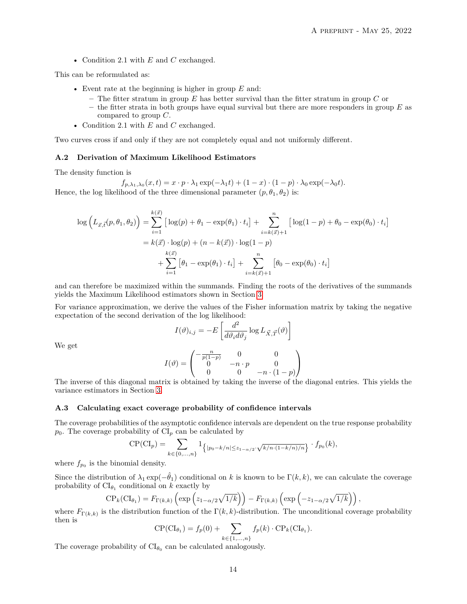• Condition 2.1 with *E* and *C* exchanged.

This can be reformulated as:

- Event rate at the beginning is higher in group *E* and:
	- **–** The fitter stratum in group *E* has better survival than the fitter stratum in group *C* or
	- **–** the fitter strata in both groups have equal survival but there are more responders in group *E* as compared to group *C*.
- Condition 2.1 with *E* and *C* exchanged.

Two curves cross if and only if they are not completely equal and not uniformly different.

#### <span id="page-13-0"></span>**A.2 Derivation of Maximum Likelihood Estimators**

The density function is

$$
f_{p,\lambda_1,\lambda_0}(x,t) = x \cdot p \cdot \lambda_1 \exp(-\lambda_1 t) + (1-x) \cdot (1-p) \cdot \lambda_0 \exp(-\lambda_0 t).
$$

Hence, the log likelihood of the three dimensional parameter  $(p, \theta_1, \theta_2)$  is:

$$
\log \left( L_{\vec{x},\vec{t}}(p,\theta_1,\theta_2) \right) = \sum_{i=1}^{k(\vec{x})} \left[ \log(p) + \theta_1 - \exp(\theta_1) \cdot t_i \right] + \sum_{i=k(\vec{x})+1}^{n} \left[ \log(1-p) + \theta_0 - \exp(\theta_0) \cdot t_i \right]
$$

$$
= k(\vec{x}) \cdot \log(p) + (n - k(\vec{x})) \cdot \log(1-p)
$$

$$
+ \sum_{i=1}^{k(\vec{x})} \left[ \theta_1 - \exp(\theta_1) \cdot t_i \right] + \sum_{i=k(\vec{x})+1}^{n} \left[ \theta_0 - \exp(\theta_0) \cdot t_i \right]
$$

and can therefore be maximized within the summands. Finding the roots of the derivatives of the summands yields the Maximum Likelihood estimators shown in Section [3.](#page-2-2)

For variance approximation, we derive the values of the Fisher information matrix by taking the negative expectation of the second derivation of the log likelihood:

$$
I(\vartheta)_{i,j} = -E \left[ \frac{d^2}{d\vartheta_i d\vartheta_j} \log L_{\vec{X},\vec{T}}(\vartheta) \right]
$$

We get

$$
I(\vartheta) = \begin{pmatrix} -\frac{n}{p(1-p)} & 0 & 0\\ 0 & -n \cdot p & 0\\ 0 & 0 & -n \cdot (1-p) \end{pmatrix}
$$

The inverse of this diagonal matrix is obtained by taking the inverse of the diagonal entries. This yields the variance estimators in Section [3.](#page-2-2)

#### <span id="page-13-1"></span>**A.3 Calculating exact coverage probability of confidence intervals**

The coverage probabilities of the asymptotic confidence intervals are dependent on the true response probability  $p_0$ . The coverage probability of  $CI_p$  can be calculated by

$$
CP(Cl_p) = \sum_{k \in \{0, ..., n\}} 1_{\left\{ |p_0 - k/n| \le z_{1-\alpha/2} \cdot \sqrt{k/n \cdot (1-k/n)/n} \right\}} \cdot f_{p_0}(k),
$$

where  $f_{p_0}$  is the binomial density.

Since the distribution of  $\lambda_1 \exp(-\hat{\theta}_1)$  conditional on k is known to be  $\Gamma(k, k)$ , we can calculate the coverage probability of  $CI_{\theta_1}$  conditional on *k* exactly by

$$
\text{CP}_k(\text{CI}_{\theta_1}) = F_{\Gamma(k,k)}\left(\exp\left(z_{1-\alpha/2}\sqrt{1/k}\right)\right) - F_{\Gamma(k,k)}\left(\exp\left(-z_{1-\alpha/2}\sqrt{1/k}\right)\right),
$$

where  $F_{\Gamma(k,k)}$  is the distribution function of the  $\Gamma(k,k)$ -distribution. The unconditional coverage probability then is

$$
CP(Cl_{\theta_1}) = f_p(0) + \sum_{k \in \{1, ..., n\}} f_p(k) \cdot CP_k(Cl_{\theta_1}).
$$

The coverage probability of  $CI_{\theta_0}$  can be calculated analogously.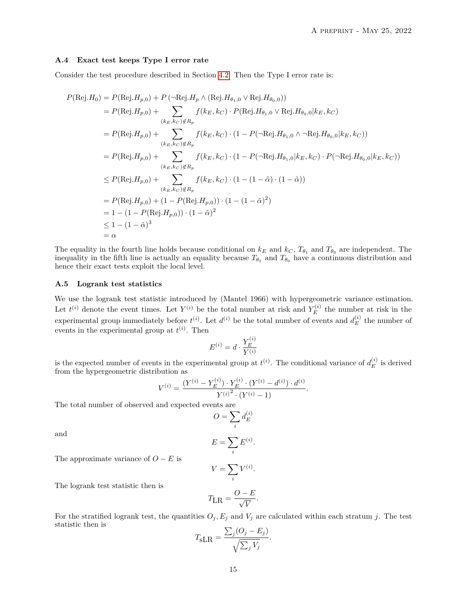#### <span id="page-14-0"></span>**A.4 Exact test keeps Type I error rate**

Consider the test procedure described in Section [4.2.](#page-5-0) Then the Type I error rate is:

$$
P(\text{Rej}.H_{0}) = P(\text{Rej}.H_{p,0}) + P(\neg \text{Rej}.H_{p} \land (\text{Rej}.H_{\theta_{1},0} \lor \text{Rej}.H_{\theta_{0},0}))
$$
  
\n
$$
= P(\text{Rej}.H_{p,0}) + \sum_{(k_{E},k_{C}) \notin R_{p}} f(k_{E},k_{C}) \cdot P(\text{Rej}.H_{\theta_{1},0} \lor \text{Rej}.H_{\theta_{0},0}|k_{E},k_{C})
$$
  
\n
$$
= P(\text{Rej}.H_{p,0}) + \sum_{(k_{E},k_{C}) \notin R_{p}} f(k_{E},k_{C}) \cdot (1 - P(\neg \text{Rej}.H_{\theta_{1},0} \land \neg \text{Rej}.H_{\theta_{0},0}|k_{E},k_{C}))
$$
  
\n
$$
= P(\text{Rej}.H_{p,0}) + \sum_{(k_{E},k_{C}) \notin R_{p}} f(k_{E},k_{C}) \cdot (1 - P(\neg \text{Rej}.H_{\theta_{1},0}|k_{E},k_{C}) \cdot P(\neg \text{Rej}.H_{\theta_{0},0}|k_{E},k_{C}))
$$
  
\n
$$
\leq P(\text{Rej}.H_{p,0}) + \sum_{(k_{E},k_{C}) \notin R_{p}} f(k_{E},k_{C}) \cdot (1 - (1 - \tilde{\alpha}) \cdot (1 - \tilde{\alpha}))
$$
  
\n
$$
= P(\text{Rej}.H_{p,0}) + (1 - P(\text{Rej}.H_{p,0})) \cdot (1 - (1 - \tilde{\alpha})^{2})
$$
  
\n
$$
= 1 - (1 - P(\text{Rej}.H_{p,0})) \cdot (1 - \tilde{\alpha})^{2}
$$
  
\n
$$
\leq 1 - (1 - \tilde{\alpha})^{3}
$$
  
\n
$$
= \alpha
$$

The equality in the fourth line holds because conditional on  $k_E$  and  $k_C$ ,  $T_{\theta_1}$  and  $T_{\theta_0}$  are independent. The inequality in the fifth line is actually an equality because  $T_{\theta_1}$  and  $T_{\theta_0}$  have a continuous distribution and hence their exact tests exploit the local level.

#### <span id="page-14-1"></span>**A.5 Logrank test statistics**

We use the logrank test statistic introduced by (Mantel 1966) with hypergeometric variance estimation. Let  $t^{(i)}$  denote the event times. Let  $Y^{(i)}$  be the total number at risk and  $Y_E^{(i)}$  $E_E^{(i)}$  the number at risk in the experimental group immediately before  $t^{(i)}$ . Let  $d^{(i)}$  be the total number of events and  $d_E^{(i)}$  $E$ <sup>(*i*</sup>) the number of events in the experimental group at  $t^{(i)}$ . Then

$$
E^{(i)} = d \cdot \frac{Y_E^{(i)}}{Y^{(i)}}
$$

is the expected number of events in the experimental group at  $t^{(i)}$ . The conditional variance of  $d_E^{(i)}$  $E$ <sup>(*i*</sup>)</sub> is derived from the hypergeometric distribution as

$$
V^{(i)} = \frac{(Y^{(i)} - Y_E^{(i)}) \cdot Y_E^{(i)} \cdot (Y^{(i)} - d^{(i)}) \cdot d^{(i)}}{Y^{(i)^2} \cdot (Y^{(i)} - 1)}.
$$

The total number of observed and expected events are

$$
O = \sum_i d_E^{(i)}
$$

and

$$
E = \sum_{i} E^{(i)}.
$$

The approximate variance of  $O - E$  is

$$
V = \sum_{i} V^{(i)}.
$$

The logrank test statistic then is

$$
T_{\text{LR}} = \frac{O - E}{\sqrt{V}}.
$$

For the stratified logrank test, the quantities  $O_j$ ,  $E_j$  and  $V_j$  are calculated within each stratum *j*. The test statistic then is

$$
T_{\text{sLR}} = \frac{\sum_{j} (O_j - E_j)}{\sqrt{\sum_j V_j}}.
$$